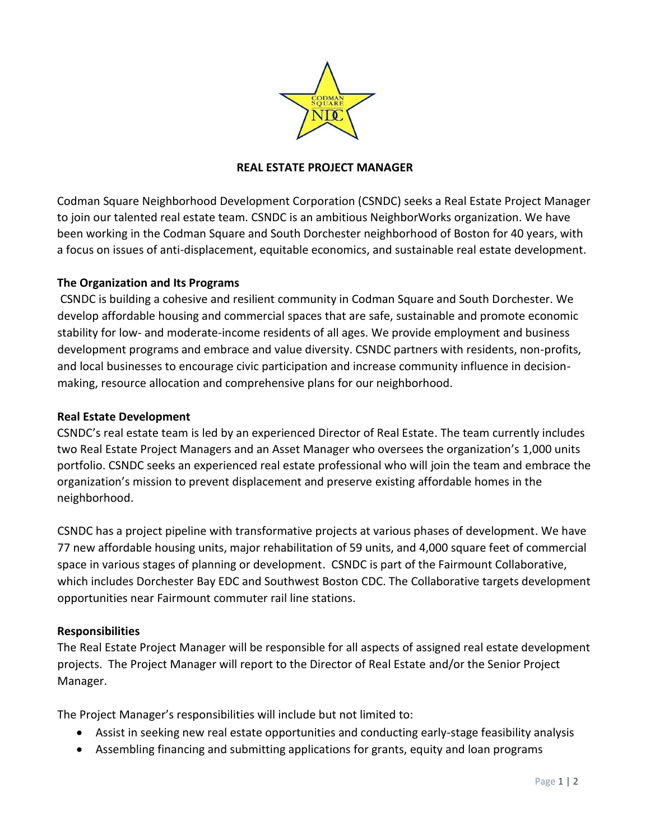

### **REAL ESTATE PROJECT MANAGER**

Codman Square Neighborhood Development Corporation (CSNDC) seeks a Real Estate Project Manager to join our talented real estate team. CSNDC is an ambitious NeighborWorks organization. We have been working in the Codman Square and South Dorchester neighborhood of Boston for 40 years, with a focus on issues of anti-displacement, equitable economics, and sustainable real estate development.

### **The Organization and Its Programs**

CSNDC is building a cohesive and resilient community in Codman Square and South Dorchester. We develop affordable housing and commercial spaces that are safe, sustainable and promote economic stability for low- and moderate-income residents of all ages. We provide employment and business development programs and embrace and value diversity. CSNDC partners with residents, non-profits, and local businesses to encourage civic participation and increase community influence in decisionmaking, resource allocation and comprehensive plans for our neighborhood.

### **Real Estate Development**

CSNDC's real estate team is led by an experienced Director of Real Estate. The team currently includes two Real Estate Project Managers and an Asset Manager who oversees the organization's 1,000 units portfolio. CSNDC seeks an experienced real estate professional who will join the team and embrace the organization's mission to prevent displacement and preserve existing affordable homes in the neighborhood.

CSNDC has a project pipeline with transformative projects at various phases of development. We have 77 new affordable housing units, major rehabilitation of 59 units, and 4,000 square feet of commercial space in various stages of planning or development. CSNDC is part of the Fairmount Collaborative, which includes Dorchester Bay EDC and Southwest Boston CDC. The Collaborative targets development opportunities near Fairmount commuter rail line stations.

#### **Responsibilities**

The Real Estate Project Manager will be responsible for all aspects of assigned real estate development projects. The Project Manager will report to the Director of Real Estate and/or the Senior Project Manager.

The Project Manager's responsibilities will include but not limited to:

- Assist in seeking new real estate opportunities and conducting early-stage feasibility analysis
- Assembling financing and submitting applications for grants, equity and loan programs